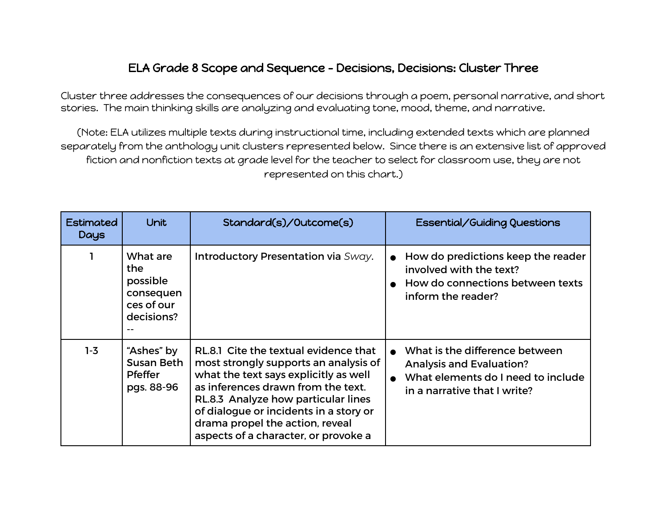## ELA Grade 8 Scope and Sequence - Decisions, Decisions: Cluster Three

Cluster three addresses the consequences of our decisions through a poem, personal narrative, and short stories. The main thinking skills are analyzing and evaluating tone, mood, theme, and narrative.

(Note: ELA utilizes multiple texts during instructional time, including extended texts which are planned separately from the anthology unit clusters represented below. Since there is an extensive list of approved fiction and nonfiction texts at grade level for the teacher to select for classroom use, they are not represented on this chart.)

| <b>Estimated</b><br>Days | <b>Unit</b>                                                           | Standard(s)/Outcome(s)                                                                                                                                                                                                                                                                                                    | Essential/Guiding Questions                                                                                                             |
|--------------------------|-----------------------------------------------------------------------|---------------------------------------------------------------------------------------------------------------------------------------------------------------------------------------------------------------------------------------------------------------------------------------------------------------------------|-----------------------------------------------------------------------------------------------------------------------------------------|
| 1                        | What are<br>the.<br>possible<br>consequen<br>ces of our<br>decisions? | Introductory Presentation via Sway.                                                                                                                                                                                                                                                                                       | How do predictions keep the reader<br>involved with the text?<br>How do connections between texts<br>inform the reader?                 |
| $1-3$                    | "Ashes" by<br>Susan Beth<br><b>Pfeffer</b><br>pgs. 88-96              | RL.8.1 Cite the textual evidence that<br>most strongly supports an analysis of<br>what the text says explicitly as well<br>as inferences drawn from the text.<br>RL.8.3 Analyze how particular lines<br>of dialogue or incidents in a story or<br>drama propel the action, reveal<br>aspects of a character, or provoke a | What is the difference between<br><b>Analysis and Evaluation?</b><br>What elements do I need to include<br>in a narrative that I write? |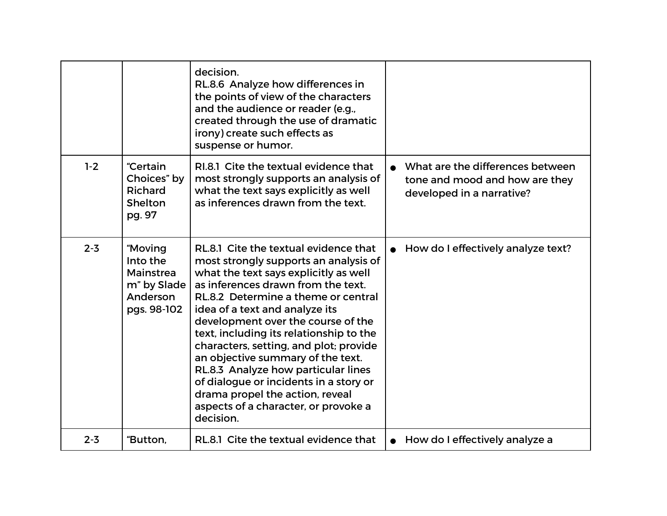|         |                                                                            | decision.<br>RL.8.6 Analyze how differences in<br>the points of view of the characters<br>and the audience or reader (e.g.,<br>created through the use of dramatic<br>irony) create such effects as<br>suspense or humor.                                                                                                                                                                                                                                                                                                                                                       |                                                                                                 |
|---------|----------------------------------------------------------------------------|---------------------------------------------------------------------------------------------------------------------------------------------------------------------------------------------------------------------------------------------------------------------------------------------------------------------------------------------------------------------------------------------------------------------------------------------------------------------------------------------------------------------------------------------------------------------------------|-------------------------------------------------------------------------------------------------|
| $1-2$   | "Certain<br>Choices" by<br>Richard<br>Shelton<br>pg. 97                    | RI.8.1 Cite the textual evidence that<br>most strongly supports an analysis of<br>what the text says explicitly as well<br>as inferences drawn from the text.                                                                                                                                                                                                                                                                                                                                                                                                                   | What are the differences between<br>tone and mood and how are they<br>developed in a narrative? |
| $2 - 3$ | "Moving<br>Into the<br>Mainstrea<br>m" by Slade<br>Anderson<br>pgs. 98-102 | RL.8.1 Cite the textual evidence that<br>most strongly supports an analysis of<br>what the text says explicitly as well<br>as inferences drawn from the text.<br>RL.8.2 Determine a theme or central<br>idea of a text and analyze its<br>development over the course of the<br>text, including its relationship to the<br>characters, setting, and plot; provide<br>an objective summary of the text.<br>RL.8.3 Analyze how particular lines<br>of dialogue or incidents in a story or<br>drama propel the action, reveal<br>aspects of a character, or provoke a<br>decision. | • How do I effectively analyze text?                                                            |
| $2 - 3$ | "Button,                                                                   | RL.8.1 Cite the textual evidence that                                                                                                                                                                                                                                                                                                                                                                                                                                                                                                                                           | How do I effectively analyze a                                                                  |